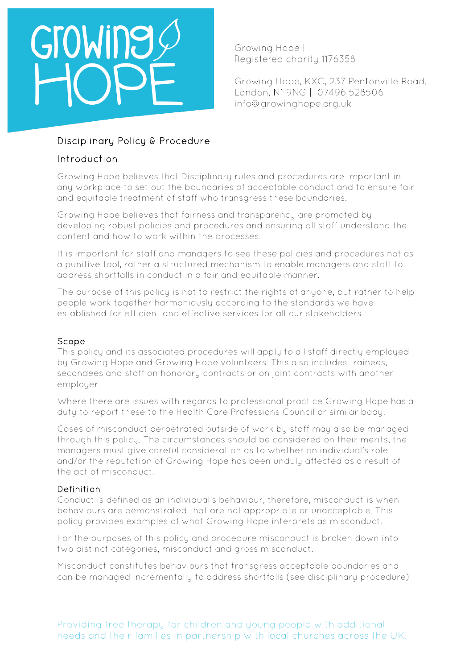# GroWine

Growing Hope | Registered charity 1176358

Growing Hope, KXC, 237 Pentonville Road, London, N1 9NG | 07496 528506 info@growinghope.org.uk

## Disciplinary Policy & Procedure

## Introduction

Growing Hope believes that Disciplinary rules and procedures are important in any workplace to set out the boundaries of acceptable conduct and to ensure fair and equitable treatment of staff who transgress these boundaries.

Growing Hope believes that fairness and transparency are promoted by developing robust policies and procedures and ensuring all staff understand the content and how to work within the processes.

It is important for staff and managers to see these policies and procedures not as a punitive tool, rather a structured mechanism to enable managers and staff to address shortfalls in conduct in a fair and equitable manner.

The purpose of this policy is not to restrict the rights of anyone, but rather to help people work together harmoniously according to the standards we have established for efficient and effective services for all our stakeholders.

#### Scope

This policy and its associated procedures will apply to all staff directly employed by Growing Hope and Growing Hope volunteers. This also includes trainees, secondees and staff on honorary contracts or on joint contracts with another employer.

Where there are issues with regards to professional practice Growing Hope has a duty to report these to the Health Care Professions Council or similar body.

Cases of misconduct perpetrated outside of work by staff may also be managed through this policy. The circumstances should be considered on their merits, the managers must give careful consideration as to whether an individual's role and/or the reputation of Growing Hope has been unduly affected as a result of the act of misconduct.

## Definition

Conduct is defined as an individual's behaviour, therefore, misconduct is when behaviours are demonstrated that are not appropriate or unacceptable. This policy provides examples of what Growing Hope interprets as misconduct.

For the purposes of this policy and procedure misconduct is broken down into two distinct categories, misconduct and gross misconduct.

Misconduct constitutes behaviours that transgress acceptable boundaries and can be managed incrementally to address shortfalls (see disciplinary procedure)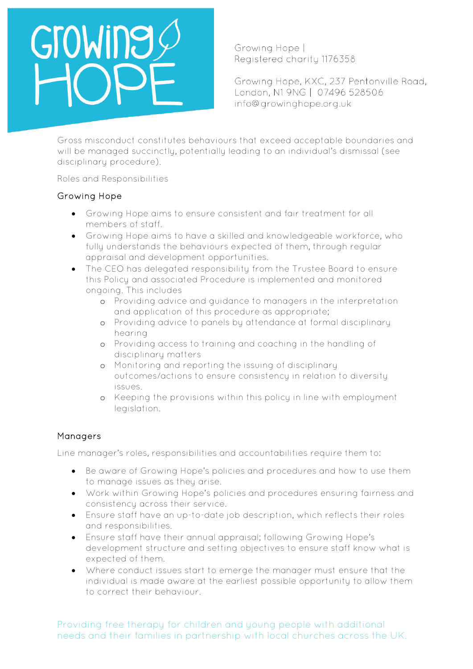# GroWing

Growing Hope | Registered charity 1176358

Growing Hope, KXC, 237 Pentonville Road, London, N1 9NG | 07496 528506 info@growinghope.org.uk

Gross misconduct constitutes behaviours that exceed acceptable boundaries and will be managed succinctly, potentially leading to an individual's dismissal (see disciplinary procedure).

Roles and Responsibilities

#### Growing Hope

- Growing Hope aims to ensure consistent and fair treatment for all members of staff.
- Growing Hope aims to have a skilled and knowledgeable workforce, who fully understands the behaviours expected of them, through regular appraisal and development opportunities.
- The CEO has delegated responsibility from the Trustee Board to ensure this Policy and associated Procedure is implemented and monitored ongoing. This includes
	- o Providing advice and guidance to managers in the interpretation and application of this procedure as appropriate;
	- o Providing advice to panels by attendance at formal disciplinary hearing
	- o Providing access to training and coaching in the handling of disciplinary matters
	- o Monitoring and reporting the issuing of disciplinary outcomes/actions to ensure consistency in relation to diversity issues.
	- o Keeping the provisions within this policy in line with employment legislation.

#### Managers

Line manager's roles, responsibilities and accountabilities require them to:

- Be aware of Growing Hope's policies and procedures and how to use them to manage issues as they arise.
- Work within Growing Hope's policies and procedures ensuring fairness and consistency across their service.
- Ensure staff have an up-to-date job description, which reflects their roles and responsibilities.
- Ensure staff have their annual appraisal; following Growing Hope's development structure and setting objectives to ensure staff know what is expected of them.
- Where conduct issues start to emerge the manager must ensure that the individual is made aware at the earliest possible opportunity to allow them to correct their behaviour.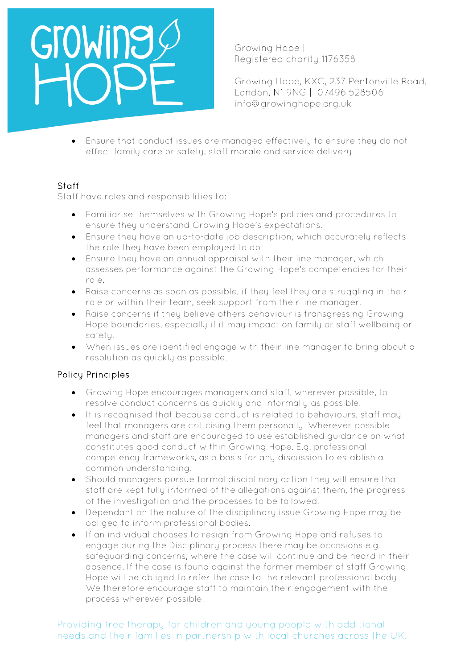Growing Hope | Registered charity 1176358

Growing Hope, KXC, 237 Pentonville Road, London, N1 9NG | 07496 528506 info@growinghope.org.uk

• Ensure that conduct issues are managed effectively to ensure they do not effect family care or safety, staff morale and service delivery.

#### Staff

Staff have roles and responsibilities to:

- Familiarise themselves with Growing Hope's policies and procedures to ensure they understand Growing Hope's expectations.
- Ensure they have an up-to-date job description, which accurately reflects the role they have been employed to do.
- Ensure they have an annual appraisal with their line manager, which assesses performance against the Growing Hope's competencies for their role.
- Raise concerns as soon as possible, if they feel they are struggling in their role or within their team, seek support from their line manager.
- Raise concerns if they believe others behaviour is transgressing Growing Hope boundaries, especially if it may impact on family or staff wellbeing or safety.
- When issues are identified engage with their line manager to bring about a resolution as quickly as possible.

#### Policy Principles

- Growing Hope encourages managers and staff, wherever possible, to resolve conduct concerns as quickly and informally as possible.
- It is recognised that because conduct is related to behaviours, staff may feel that managers are criticising them personally. Wherever possible managers and staff are encouraged to use established guidance on what constitutes good conduct within Growing Hope. E.g. professional competency frameworks, as a basis for any discussion to establish a common understanding.
- Should managers pursue formal disciplinary action they will ensure that staff are kept fully informed of the allegations against them, the progress of the investigation and the processes to be followed.
- Dependant on the nature of the disciplinary issue Growing Hope may be obliged to inform professional bodies.
- If an individual chooses to resign from Growing Hope and refuses to engage during the Disciplinary process there may be occasions e.g. safeguarding concerns, where the case will continue and be heard in their absence. If the case is found against the former member of staff Growing Hope will be obliged to refer the case to the relevant professional body. We therefore encourage staff to maintain their engagement with the process wherever possible.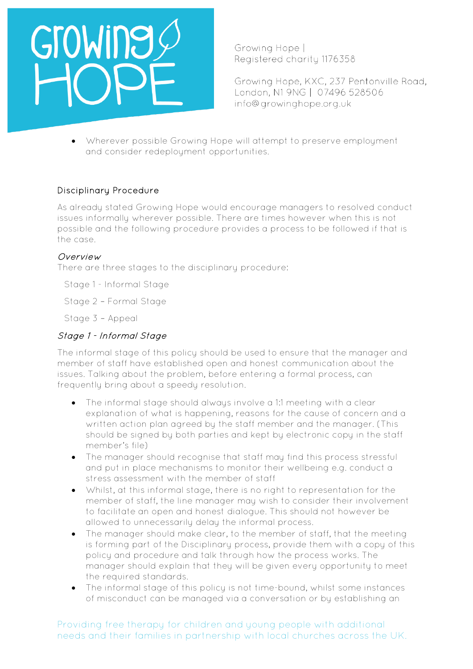

Growing Hope | Registered charity 1176358

Growing Hope, KXC, 237 Pentonville Road, London, N1 9NG | 07496 528506 info@growinghope.org.uk

• Wherever possible Growing Hope will attempt to preserve employment and consider redeployment opportunities.

#### Disciplinary Procedure

As already stated Growing Hope would encourage managers to resolved conduct issues informally wherever possible. There are times however when this is not possible and the following procedure provides a process to be followed if that is the case.

#### Overview

There are three stages to the disciplinary procedure:

Stage 1 - Informal Stage

Stage 2 – Formal Stage

Stage 3 – Appeal

### Stage 1 - Informal Stage

The informal stage of this policy should be used to ensure that the manager and member of staff have established open and honest communication about the issues. Talking about the problem, before entering a formal process, can frequently bring about a speedy resolution.

- The informal stage should always involve a 1:1 meeting with a clear explanation of what is happening, reasons for the cause of concern and a written action plan agreed by the staff member and the manager. (This should be signed by both parties and kept by electronic copy in the staff member's file)
- The manager should recognise that staff may find this process stressful and put in place mechanisms to monitor their wellbeing e.g. conduct a stress assessment with the member of staff
- Whilst, at this informal stage, there is no right to representation for the member of staff, the line manager may wish to consider their involvement to facilitate an open and honest dialogue. This should not however be allowed to unnecessarily delay the informal process.
- The manager should make clear, to the member of staff, that the meeting is forming part of the Disciplinary process, provide them with a copy of this policy and procedure and talk through how the process works. The manager should explain that they will be given every opportunity to meet the required standards.
- The informal stage of this policy is not time-bound, whilst some instances of misconduct can be managed via a conversation or by establishing an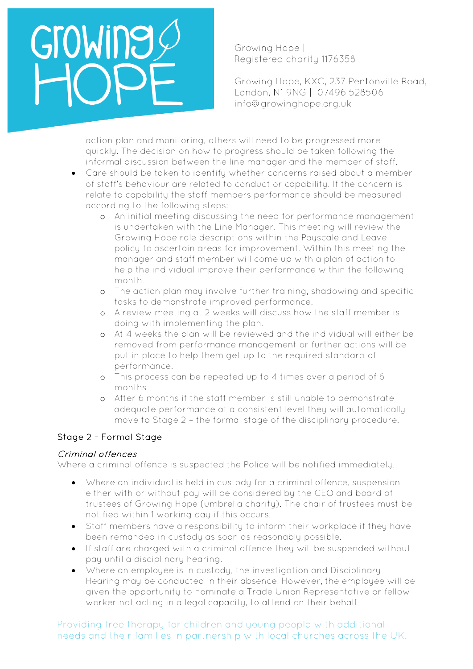Growing Hope | Registered charity 1176358

Growing Hope, KXC, 237 Pentonville Road, London, N1 9NG | 07496 528506 info@growinghope.org.uk

action plan and monitoring, others will need to be progressed more quickly. The decision on how to progress should be taken following the informal discussion between the line manager and the member of staff.

- Care should be taken to identify whether concerns raised about a member of staff's behaviour are related to conduct or capability. If the concern is relate to capability the staff members performance should be measured according to the following steps:
	- o An initial meeting discussing the need for performance management is undertaken with the Line Manager. This meeting will review the Growing Hope role descriptions within the Payscale and Leave policy to ascertain areas for improvement. Within this meeting the manager and staff member will come up with a plan of action to help the individual improve their performance within the following month.
	- o The action plan may involve further training, shadowing and specific tasks to demonstrate improved performance.
	- o A review meeting at 2 weeks will discuss how the staff member is doing with implementing the plan.
	- o At 4 weeks the plan will be reviewed and the individual will either be removed from performance management or further actions will be put in place to help them get up to the required standard of performance.
	- o This process can be repeated up to 4 times over a period of 6 months.
	- o After 6 months if the staff member is still unable to demonstrate adequate performance at a consistent level they will automatically move to Stage 2 – the formal stage of the disciplinary procedure.

## Stage 2 - Formal Stage

## Criminal offences

Where a criminal offence is suspected the Police will be notified immediately.

- Where an individual is held in custody for a criminal offence, suspension either with or without pay will be considered by the CEO and board of trustees of Growing Hope (umbrella charity). The chair of trustees must be notified within 1 working day if this occurs.
- Staff members have a responsibility to inform their workplace if they have been remanded in custody as soon as reasonably possible.
- If staff are charged with a criminal offence they will be suspended without pay until a disciplinary hearing.
- Where an employee is in custody, the investigation and Disciplinary Hearing may be conducted in their absence. However, the employee will be given the opportunity to nominate a Trade Union Representative or fellow worker not acting in a legal capacity, to attend on their behalf.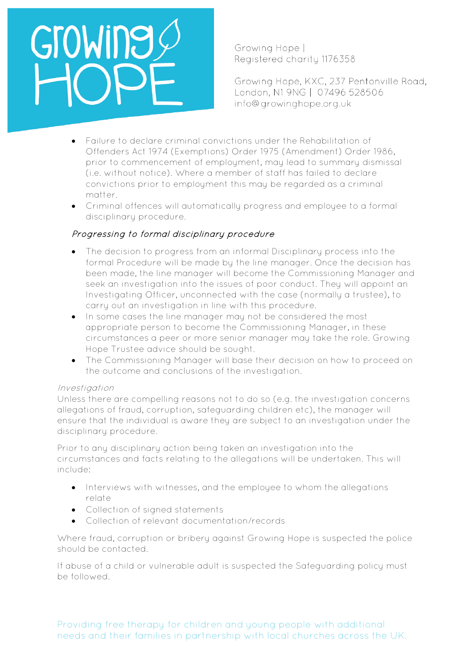Growing Hope | Registered charity 1176358

Growing Hope, KXC, 237 Pentonville Road, London, N1 9NG | 07496 528506 info@growinghope.org.uk

- Failure to declare criminal convictions under the Rehabilitation of Offenders Act 1974 (Exemptions) Order 1975 (Amendment) Order 1986, prior to commencement of employment, may lead to summary dismissal (i.e. without notice). Where a member of staff has failed to declare convictions prior to employment this may be regarded as a criminal matter.
- Criminal offences will automatically progress and employee to a formal disciplinary procedure.

#### Progressing to formal disciplinary procedure

- The decision to progress from an informal Disciplinary process into the formal Procedure will be made by the line manager. Once the decision has been made, the line manager will become the Commissioning Manager and seek an investigation into the issues of poor conduct. They will appoint an Investigating Officer, unconnected with the case (normally a trustee), to carry out an investigation in line with this procedure.
- In some cases the line manager may not be considered the most appropriate person to become the Commissioning Manager, in these circumstances a peer or more senior manager may take the role. Growing Hope Trustee advice should be sought.
- The Commissioning Manager will base their decision on how to proceed on the outcome and conclusions of the investigation.

#### Investigation

Unless there are compelling reasons not to do so (e.g. the investigation concerns allegations of fraud, corruption, safeguarding children etc), the manager will ensure that the individual is aware they are subject to an investigation under the disciplinary procedure.

Prior to any disciplinary action being taken an investigation into the circumstances and facts relating to the allegations will be undertaken. This will include:

- Interviews with witnesses, and the employee to whom the allegations relate
- Collection of signed statements
- Collection of relevant documentation/records

Where fraud, corruption or bribery against Growing Hope is suspected the police should be contacted.

If abuse of a child or vulnerable adult is suspected the Safeguarding policy must be followed.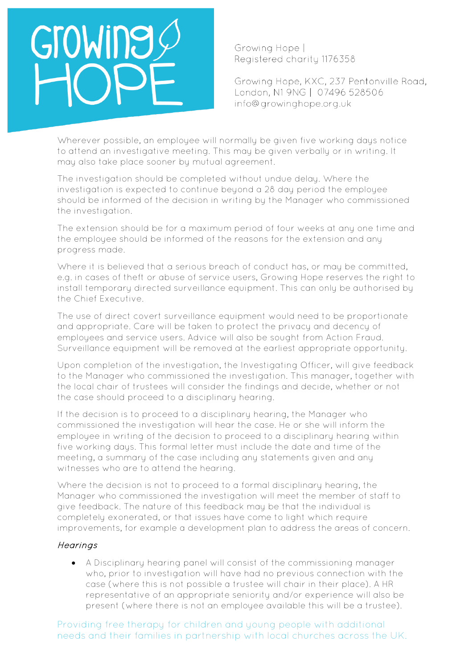# GroWing

Growing Hope | Registered charity 1176358

Growing Hope, KXC, 237 Pentonville Road, London, N1 9NG | 07496 528506 info@growinghope.org.uk

Wherever possible, an employee will normally be given five working days notice to attend an investigative meeting. This may be given verbally or in writing. It may also take place sooner by mutual agreement.

The investigation should be completed without undue delay. Where the investigation is expected to continue beyond a 28 day period the employee should be informed of the decision in writing by the Manager who commissioned the investigation.

The extension should be for a maximum period of four weeks at any one time and the employee should be informed of the reasons for the extension and any progress made.

Where it is believed that a serious breach of conduct has, or may be committed, e.g. in cases of theft or abuse of service users, Growing Hope reserves the right to install temporary directed surveillance equipment. This can only be authorised by the Chief Executive.

The use of direct covert surveillance equipment would need to be proportionate and appropriate. Care will be taken to protect the privacy and decency of employees and service users. Advice will also be sought from Action Fraud. Surveillance equipment will be removed at the earliest appropriate opportunity.

Upon completion of the investigation, the Investigating Officer, will give feedback to the Manager who commissioned the investigation. This manager, together with the local chair of trustees will consider the findings and decide, whether or not the case should proceed to a disciplinary hearing.

If the decision is to proceed to a disciplinary hearing, the Manager who commissioned the investigation will hear the case. He or she will inform the employee in writing of the decision to proceed to a disciplinary hearing within five working days. This formal letter must include the date and time of the meeting, a summary of the case including any statements given and any witnesses who are to attend the hearing.

Where the decision is not to proceed to a formal disciplinary hearing, the Manager who commissioned the investigation will meet the member of staff to give feedback. The nature of this feedback may be that the individual is completely exonerated, or that issues have come to light which require improvements, for example a development plan to address the areas of concern.

#### **Hearings**

• A Disciplinary hearing panel will consist of the commissioning manager who, prior to investigation will have had no previous connection with the case (where this is not possible a trustee will chair in their place). A HR representative of an appropriate seniority and/or experience will also be present (where there is not an employee available this will be a trustee).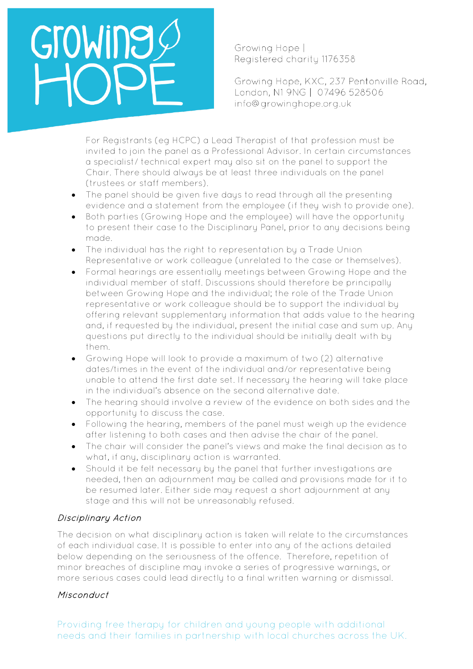Growing Hope | Registered charity 1176358

Growing Hope, KXC, 237 Pentonville Road, London, N1 9NG | 07496 528506 info@growinghope.org.uk

For Registrants (eg HCPC) a Lead Therapist of that profession must be invited to join the panel as a Professional Advisor. In certain circumstances a specialist/ technical expert may also sit on the panel to support the Chair. There should always be at least three individuals on the panel (trustees or staff members).

- The panel should be given five days to read through all the presenting evidence and a statement from the employee (if they wish to provide one).
- Both parties (Growing Hope and the employee) will have the opportunity to present their case to the Disciplinary Panel, prior to any decisions being made.
- The individual has the right to representation by a Trade Union Representative or work colleague (unrelated to the case or themselves).
- Formal hearings are essentially meetings between Growing Hope and the individual member of staff. Discussions should therefore be principally between Growing Hope and the individual; the role of the Trade Union representative or work colleague should be to support the individual by offering relevant supplementary information that adds value to the hearing and, if requested by the individual, present the initial case and sum up. Any questions put directly to the individual should be initially dealt with by them.
- Growing Hope will look to provide a maximum of two (2) alternative dates/times in the event of the individual and/or representative being unable to attend the first date set. If necessary the hearing will take place in the individual's absence on the second alternative date.
- The hearing should involve a review of the evidence on both sides and the opportunity to discuss the case.
- Following the hearing, members of the panel must weigh up the evidence after listening to both cases and then advise the chair of the panel.
- The chair will consider the panel's views and make the final decision as to what, if any, disciplinary action is warranted.
- Should it be felt necessary by the panel that further investigations are needed, then an adjournment may be called and provisions made for it to be resumed later. Either side may request a short adjournment at any stage and this will not be unreasonably refused.

## Disciplinary Action

The decision on what disciplinary action is taken will relate to the circumstances of each individual case. It is possible to enter into any of the actions detailed below depending on the seriousness of the offence. Therefore, repetition of minor breaches of discipline may invoke a series of progressive warnings, or more serious cases could lead directly to a final written warning or dismissal.

## Misconduct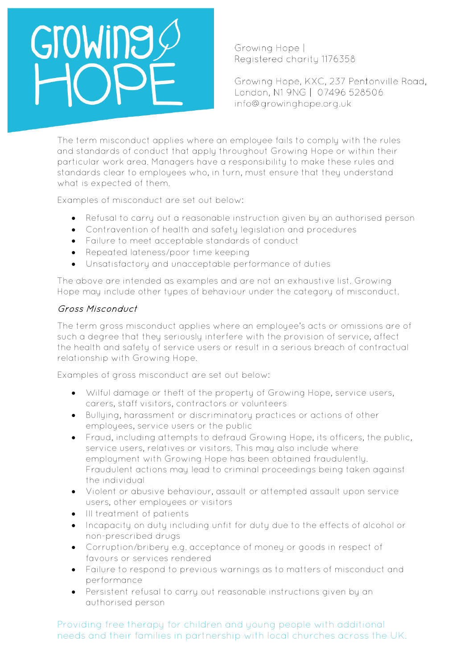Growing Hope | Registered charity 1176358

Growing Hope, KXC, 237 Pentonville Road, London, N1 9NG | 07496 528506 info@growinghope.org.uk

The term misconduct applies where an employee fails to comply with the rules and standards of conduct that apply throughout Growing Hope or within their particular work area. Managers have a responsibility to make these rules and standards clear to employees who, in turn, must ensure that they understand what is expected of them.

Examples of misconduct are set out below:

- Refusal to carry out a reasonable instruction given by an authorised person
- Contravention of health and safety legislation and procedures
- Failure to meet acceptable standards of conduct
- Repeated lateness/poor time keeping
- Unsatisfactory and unacceptable performance of duties

The above are intended as examples and are not an exhaustive list. Growing Hope may include other types of behaviour under the category of misconduct.

## Gross Misconduct

The term gross misconduct applies where an employee's acts or omissions are of such a degree that they seriously interfere with the provision of service, affect the health and safety of service users or result in a serious breach of contractual relationship with Growing Hope.

Examples of gross misconduct are set out below:

- Wilful damage or theft of the property of Growing Hope, service users, carers, staff visitors, contractors or volunteers
- Bullying, harassment or discriminatory practices or actions of other employees, service users or the public
- Fraud, including attempts to defraud Growing Hope, its officers, the public, service users, relatives or visitors. This may also include where employment with Growing Hope has been obtained fraudulently. Fraudulent actions may lead to criminal proceedings being taken against the individual
- Violent or abusive behaviour, assault or attempted assault upon service users, other employees or visitors
- Ill treatment of patients
- Incapacity on duty including unfit for duty due to the effects of alcohol or non-prescribed drugs
- Corruption/bribery e.g. acceptance of money or goods in respect of favours or services rendered
- Failure to respond to previous warnings as to matters of misconduct and performance
- Persistent refusal to carry out reasonable instructions given by an authorised person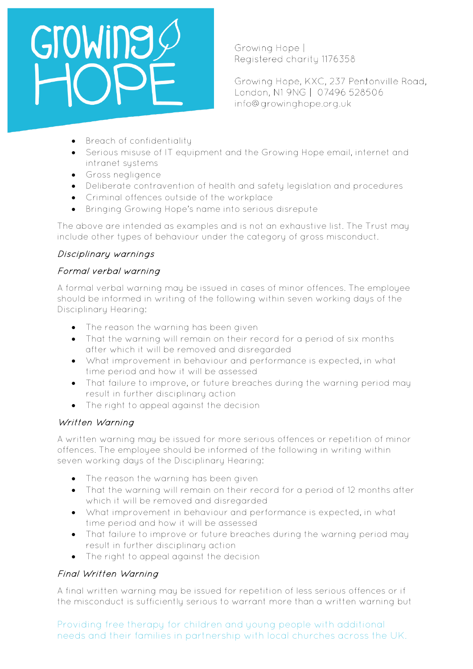Growing Hope | Registered charity 1176358

Growing Hope, KXC, 237 Pentonville Road, London, N1 9NG | 07496 528506 info@growinghope.org.uk

- Breach of confidentiality
- Serious misuse of IT equipment and the Growing Hope email, internet and intranet systems
- Gross negligence
- Deliberate contravention of health and safety legislation and procedures
- Criminal offences outside of the workplace
- Bringing Growing Hope's name into serious disrepute

The above are intended as examples and is not an exhaustive list. The Trust may include other tupes of behaviour under the category of gross misconduct.

## Disciplinary warnings

## Formal verbal warning

A formal verbal warning may be issued in cases of minor offences. The employee should be informed in writing of the following within seven working days of the Disciplinary Hearing:

- The reason the warning has been given
- That the warning will remain on their record for a period of six months after which it will be removed and disregarded
- What improvement in behaviour and performance is expected, in what time period and how it will be assessed
- That failure to improve, or future breaches during the warning period may result in further disciplinary action
- The right to appeal against the decision

## Written Warning

A written warning may be issued for more serious offences or repetition of minor offences. The employee should be informed of the following in writing within seven working days of the Disciplinary Hearing:

- The reason the warning has been given
- That the warning will remain on their record for a period of 12 months after which it will be removed and disregarded
- What improvement in behaviour and performance is expected, in what time period and how it will be assessed
- That failure to improve or future breaches during the warning period may result in further disciplinary action
- The right to appeal against the decision

## Final Written Warning

A final written warning may be issued for repetition of less serious offences or if the misconduct is sufficiently serious to warrant more than a written warning but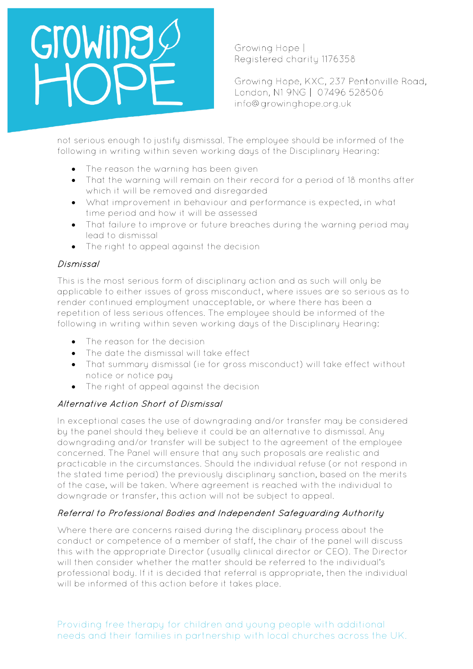# GroWing

Growing Hope | Registered charity 1176358

Growing Hope, KXC, 237 Pentonville Road, London, N1 9NG | 07496 528506 info@growinghope.org.uk

not serious enough to justify dismissal. The employee should be informed of the following in writing within seven working days of the Disciplinary Hearing:

- The reason the warning has been given
- That the warning will remain on their record for a period of 18 months after which it will be removed and disregarded
- What improvement in behaviour and performance is expected, in what time period and how it will be assessed
- That failure to improve or future breaches during the warning period may lead to dismissal
- The right to appeal against the decision

## Dismissal

This is the most serious form of disciplinary action and as such will only be applicable to either issues of gross misconduct, where issues are so serious as to render continued employment unacceptable, or where there has been a repetition of less serious offences. The employee should be informed of the following in writing within seven working days of the Disciplinary Hearing:

- The reason for the decision
- The date the dismissal will take effect
- That summary dismissal (ie for gross misconduct) will take effect without notice or notice pay
- The right of appeal against the decision

## Alternative Action Short of Dismissal

In exceptional cases the use of downgrading and/or transfer may be considered by the panel should they believe it could be an alternative to dismissal. Any downgrading and/or transfer will be subject to the agreement of the employee concerned. The Panel will ensure that any such proposals are realistic and practicable in the circumstances. Should the individual refuse (or not respond in the stated time period) the previously disciplinary sanction, based on the merits of the case, will be taken. Where agreement is reached with the individual to downgrade or transfer, this action will not be subject to appeal.

## Referral to Professional Bodies and Independent Safeguarding Authority

Where there are concerns raised during the disciplinary process about the conduct or competence of a member of staff, the chair of the panel will discuss this with the appropriate Director (usually clinical director or CEO). The Director will then consider whether the matter should be referred to the individual's professional body. If it is decided that referral is appropriate, then the individual will be informed of this action before it takes place.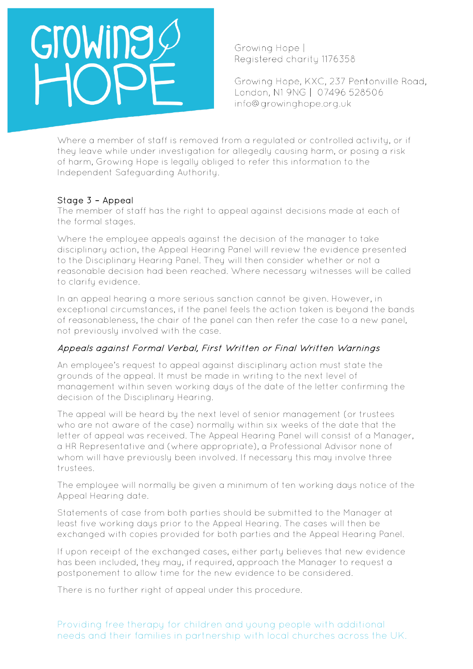

Growing Hope | Registered charity 1176358

Growing Hope, KXC, 237 Pentonville Road, London, N1 9NG | 07496 528506 info@growinghope.org.uk

Where a member of staff is removed from a regulated or controlled activity, or if they leave while under investigation for allegedly causing harm, or posing a risk of harm, Growing Hope is legally obliged to refer this information to the Independent Safeguarding Authority.

#### Stage 3 – Appeal

The member of staff has the right to appeal against decisions made at each of the formal stages.

Where the employee appeals against the decision of the manager to take disciplinary action, the Appeal Hearing Panel will review the evidence presented to the Disciplinary Hearing Panel. They will then consider whether or not a reasonable decision had been reached. Where necessary witnesses will be called to clarify evidence.

In an appeal hearing a more serious sanction cannot be given. However, in exceptional circumstances, if the panel feels the action taken is beyond the bands of reasonableness, the chair of the panel can then refer the case to a new panel, not previously involved with the case.

#### Appeals against Formal Verbal, First Written or Final Written Warnings

An employee's request to appeal against disciplinary action must state the grounds of the appeal. It must be made in writing to the next level of management within seven working days of the date of the letter confirming the decision of the Disciplinary Hearing.

The appeal will be heard by the next level of senior management (or trustees who are not aware of the case) normally within six weeks of the date that the letter of appeal was received. The Appeal Hearing Panel will consist of a Manager, a HR Representative and (where appropriate), a Professional Advisor none of whom will have previously been involved. If necessary this may involve three trustees.

The employee will normally be given a minimum of ten working days notice of the Appeal Hearing date.

Statements of case from both parties should be submitted to the Manager at least five working days prior to the Appeal Hearing. The cases will then be exchanged with copies provided for both parties and the Appeal Hearing Panel.

If upon receipt of the exchanged cases, either party believes that new evidence has been included, they may, if required, approach the Manager to request a postponement to allow time for the new evidence to be considered.

There is no further right of appeal under this procedure.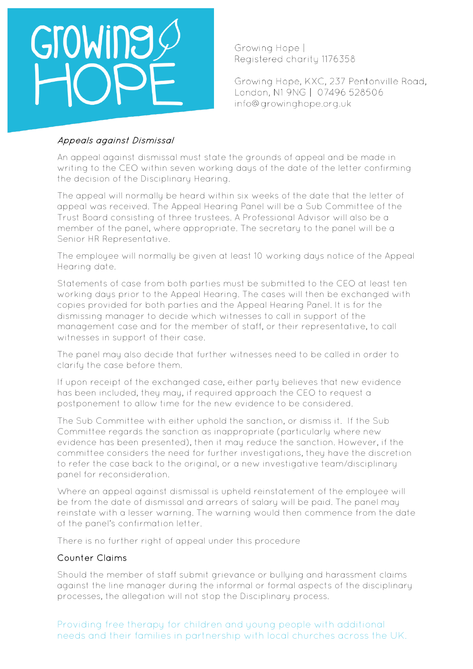Growing Hope | Registered charity 1176358

Growing Hope, KXC, 237 Pentonville Road, London, N1 9NG | 07496 528506 info@growinghope.org.uk

#### Appeals against Dismissal

An appeal against dismissal must state the grounds of appeal and be made in writing to the CEO within seven working days of the date of the letter confirming the decision of the Disciplinary Hearing.

The appeal will normally be heard within six weeks of the date that the letter of appeal was received. The Appeal Hearing Panel will be a Sub Committee of the Trust Board consisting of three trustees. A Professional Advisor will also be a member of the panel, where appropriate. The secretary to the panel will be a Senior HR Representative.

The employee will normally be given at least 10 working days notice of the Appeal Hearing date.

Statements of case from both parties must be submitted to the CEO at least ten working days prior to the Appeal Hearing. The cases will then be exchanged with copies provided for both parties and the Appeal Hearing Panel. It is for the dismissing manager to decide which witnesses to call in support of the management case and for the member of staff, or their representative, to call witnesses in support of their case.

The panel may also decide that further witnesses need to be called in order to clarify the case before them.

If upon receipt of the exchanged case, either party believes that new evidence has been included, they may, if required approach the CEO to request a postponement to allow time for the new evidence to be considered.

The Sub Committee with either uphold the sanction, or dismiss it. If the Sub Committee regards the sanction as inappropriate (particularly where new evidence has been presented), then it may reduce the sanction. However, if the committee considers the need for further investigations, they have the discretion to refer the case back to the original, or a new investigative team/disciplinary panel for reconsideration.

Where an appeal against dismissal is upheld reinstatement of the employee will be from the date of dismissal and arrears of salary will be paid. The panel may reinstate with a lesser warning. The warning would then commence from the date of the panel's confirmation letter.

There is no further right of appeal under this procedure

#### Counter Claims

Should the member of staff submit grievance or bullying and harassment claims against the line manager during the informal or formal aspects of the disciplinary processes, the allegation will not stop the Disciplinary process.